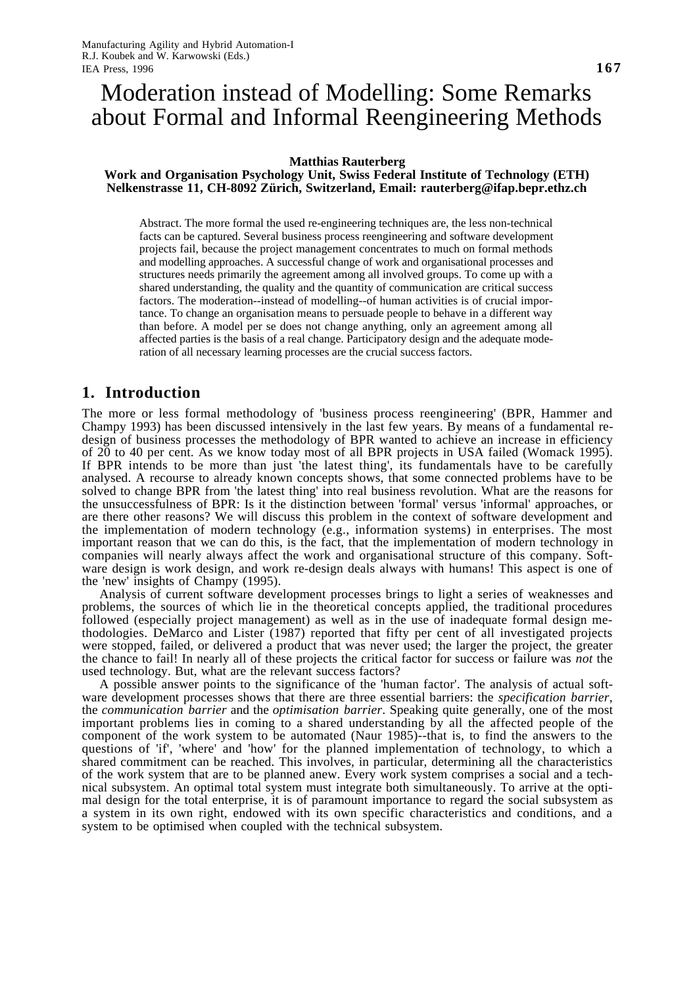# Moderation instead of Modelling: Some Remarks about Formal and Informal Reengineering Methods

#### **Matthias Rauterberg**

#### **Work and Organisation Psychology Unit, Swiss Federal Institute of Technology (ETH) Nelkenstrasse 11, CH-8092 Zürich, Switzerland, Email: rauterberg@ifap.bepr.ethz.ch**

Abstract. The more formal the used re-engineering techniques are, the less non-technical facts can be captured. Several business process reengineering and software development projects fail, because the project management concentrates to much on formal methods and modelling approaches. A successful change of work and organisational processes and structures needs primarily the agreement among all involved groups. To come up with a shared understanding, the quality and the quantity of communication are critical success factors. The moderation--instead of modelling--of human activities is of crucial importance. To change an organisation means to persuade people to behave in a different way than before. A model per se does not change anything, only an agreement among all affected parties is the basis of a real change. Participatory design and the adequate moderation of all necessary learning processes are the crucial success factors.

## **1. Introduction**

The more or less formal methodology of 'business process reengineering' (BPR, Hammer and Champy 1993) has been discussed intensively in the last few years. By means of a fundamental redesign of business processes the methodology of BPR wanted to achieve an increase in efficiency of 20 to 40 per cent. As we know today most of all BPR projects in USA failed (Womack 1995). If BPR intends to be more than just 'the latest thing', its fundamentals have to be carefully analysed. A recourse to already known concepts shows, that some connected problems have to be solved to change BPR from 'the latest thing' into real business revolution. What are the reasons for the unsuccessfulness of BPR: Is it the distinction between 'formal' versus 'informal' approaches, or are there other reasons? We will discuss this problem in the context of software development and the implementation of modern technology (e.g., information systems) in enterprises. The most important reason that we can do this, is the fact, that the implementation of modern technology in companies will nearly always affect the work and organisational structure of this company. Software design is work design, and work re-design deals always with humans! This aspect is one of the 'new' insights of Champy (1995).

Analysis of current software development processes brings to light a series of weaknesses and problems, the sources of which lie in the theoretical concepts applied, the traditional procedures followed (especially project management) as well as in the use of inadequate formal design methodologies. DeMarco and Lister (1987) reported that fifty per cent of all investigated projects were stopped, failed, or delivered a product that was never used; the larger the project, the greater the chance to fail! In nearly all of these projects the critical factor for success or failure was *not* the used technology. But, what are the relevant success factors?

A possible answer points to the significance of the 'human factor'. The analysis of actual software development processes shows that there are three essential barriers: the *specification barrier*, the *communication barrier* and the *optimisation barrier*. Speaking quite generally, one of the most important problems lies in coming to a shared understanding by all the affected people of the component of the work system to be automated (Naur 1985)--that is, to find the answers to the questions of 'if', 'where' and 'how' for the planned implementation of technology, to which a shared commitment can be reached. This involves, in particular, determining all the characteristics of the work system that are to be planned anew. Every work system comprises a social and a technical subsystem. An optimal total system must integrate both simultaneously. To arrive at the optimal design for the total enterprise, it is of paramount importance to regard the social subsystem as a system in its own right, endowed with its own specific characteristics and conditions, and a system to be optimised when coupled with the technical subsystem.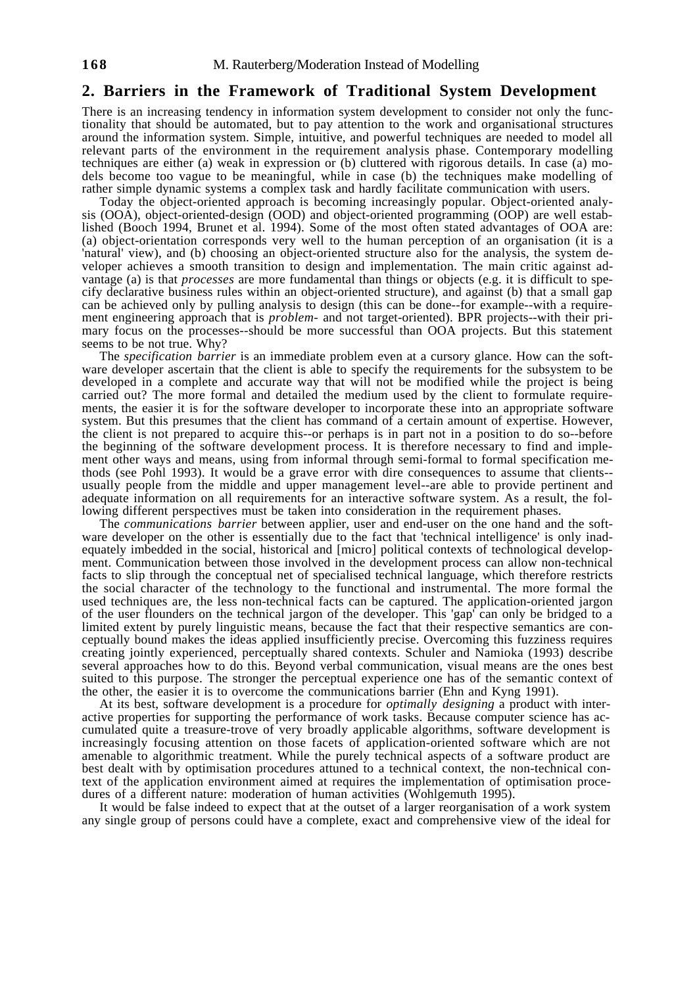#### **2. Barriers in the Framework of Traditional System Development**

There is an increasing tendency in information system development to consider not only the functionality that should be automated, but to pay attention to the work and organisational structures around the information system. Simple, intuitive, and powerful techniques are needed to model all relevant parts of the environment in the requirement analysis phase. Contemporary modelling techniques are either (a) weak in expression or (b) cluttered with rigorous details. In case (a) models become too vague to be meaningful, while in case (b) the techniques make modelling of rather simple dynamic systems a complex task and hardly facilitate communication with users.

Today the object-oriented approach is becoming increasingly popular. Object-oriented analysis (OOA), object-oriented-design (OOD) and object-oriented programming (OOP) are well established (Booch 1994, Brunet et al. 1994). Some of the most often stated advantages of OOA are: (a) object-orientation corresponds very well to the human perception of an organisation (it is a 'natural' view), and (b) choosing an object-oriented structure also for the analysis, the system developer achieves a smooth transition to design and implementation. The main critic against advantage (a) is that *processes* are more fundamental than things or objects (e.g. it is difficult to specify declarative business rules within an object-oriented structure), and against (b) that a small gap can be achieved only by pulling analysis to design (this can be done--for example--with a requirement engineering approach that is *problem-* and not target-oriented). BPR projects--with their primary focus on the processes--should be more successful than OOA projects. But this statement seems to be not true. Why?

The *specification barrier* is an immediate problem even at a cursory glance. How can the software developer ascertain that the client is able to specify the requirements for the subsystem to be developed in a complete and accurate way that will not be modified while the project is being carried out? The more formal and detailed the medium used by the client to formulate requirements, the easier it is for the software developer to incorporate these into an appropriate software system. But this presumes that the client has command of a certain amount of expertise. However, the client is not prepared to acquire this--or perhaps is in part not in a position to do so--before the beginning of the software development process. It is therefore necessary to find and implement other ways and means, using from informal through semi-formal to formal specification methods (see Pohl 1993). It would be a grave error with dire consequences to assume that clients- usually people from the middle and upper management level--are able to provide pertinent and adequate information on all requirements for an interactive software system. As a result, the following different perspectives must be taken into consideration in the requirement phases.

The *communications barrier* between applier, user and end-user on the one hand and the software developer on the other is essentially due to the fact that 'technical intelligence' is only inadequately imbedded in the social, historical and [micro] political contexts of technological development. Communication between those involved in the development process can allow non-technical facts to slip through the conceptual net of specialised technical language, which therefore restricts the social character of the technology to the functional and instrumental. The more formal the used techniques are, the less non-technical facts can be captured. The application-oriented jargon of the user flounders on the technical jargon of the developer. This 'gap' can only be bridged to a limited extent by purely linguistic means, because the fact that their respective semantics are conceptually bound makes the ideas applied insufficiently precise. Overcoming this fuzziness requires creating jointly experienced, perceptually shared contexts. Schuler and Namioka (1993) describe several approaches how to do this. Beyond verbal communication, visual means are the ones best suited to this purpose. The stronger the perceptual experience one has of the semantic context of the other, the easier it is to overcome the communications barrier (Ehn and Kyng 1991).

At its best, software development is a procedure for *optimally designing* a product with interactive properties for supporting the performance of work tasks. Because computer science has accumulated quite a treasure-trove of very broadly applicable algorithms, software development is increasingly focusing attention on those facets of application-oriented software which are not amenable to algorithmic treatment. While the purely technical aspects of a software product are best dealt with by optimisation procedures attuned to a technical context, the non-technical context of the application environment aimed at requires the implementation of optimisation procedures of a different nature: moderation of human activities (Wohlgemuth 1995).

It would be false indeed to expect that at the outset of a larger reorganisation of a work system any single group of persons could have a complete, exact and comprehensive view of the ideal for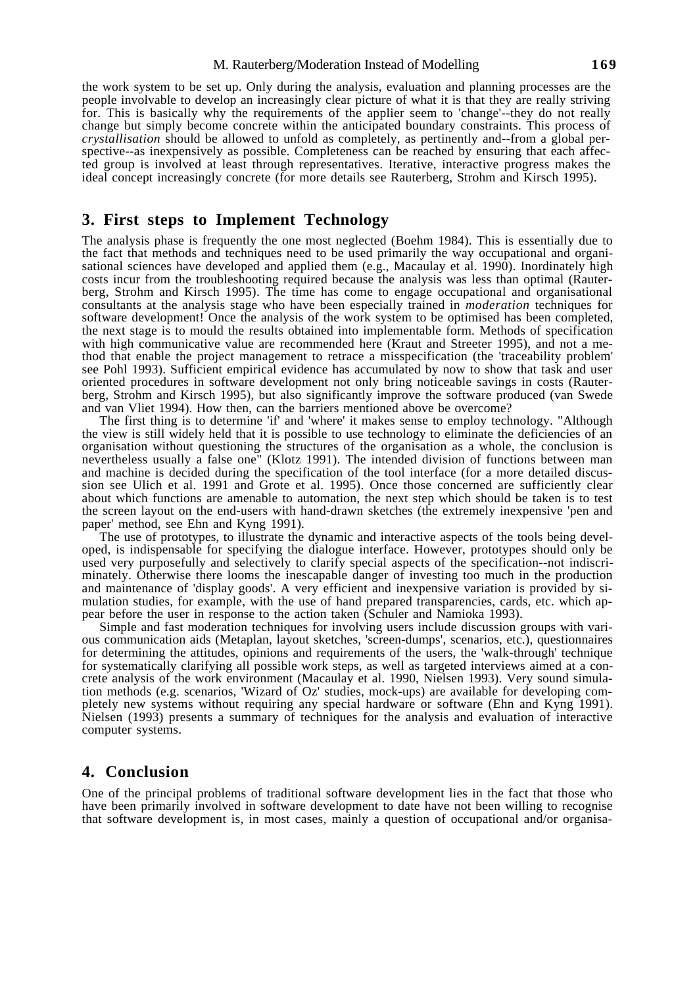#### M. Rauterberg/Moderation Instead of Modelling **169**

the work system to be set up. Only during the analysis, evaluation and planning processes are the people involvable to develop an increasingly clear picture of what it is that they are really striving for. This is basically why the requirements of the applier seem to 'change'--they do not really change but simply become concrete within the anticipated boundary constraints. This process of *crystallisation* should be allowed to unfold as completely, as pertinently and--from a global perspective--as inexpensively as possible. Completeness can be reached by ensuring that each affected group is involved at least through representatives. Iterative, interactive progress makes the ideal concept increasingly concrete (for more details see Rauterberg, Strohm and Kirsch 1995).

## **3. First steps to Implement Technology**

The analysis phase is frequently the one most neglected (Boehm 1984). This is essentially due to the fact that methods and techniques need to be used primarily the way occupational and organisational sciences have developed and applied them (e.g., Macaulay et al. 1990). Inordinately high costs incur from the troubleshooting required because the analysis was less than optimal (Rauterberg, Strohm and Kirsch 1995). The time has come to engage occupational and organisational consultants at the analysis stage who have been especially trained in *moderation* techniques for software development! Once the analysis of the work system to be optimised has been completed, the next stage is to mould the results obtained into implementable form. Methods of specification with high communicative value are recommended here (Kraut and Streeter 1995), and not a method that enable the project management to retrace a misspecification (the 'traceability problem' see Pohl 1993). Sufficient empirical evidence has accumulated by now to show that task and user oriented procedures in software development not only bring noticeable savings in costs (Rauterberg, Strohm and Kirsch 1995), but also significantly improve the software produced (van Swede and van Vliet 1994). How then, can the barriers mentioned above be overcome?

The first thing is to determine 'if' and 'where' it makes sense to employ technology. "Although the view is still widely held that it is possible to use technology to eliminate the deficiencies of an organisation without questioning the structures of the organisation as a whole, the conclusion is nevertheless usually a false one" (Klotz 1991). The intended division of functions between man and machine is decided during the specification of the tool interface (for a more detailed discussion see Ulich et al. 1991 and Grote et al. 1995). Once those concerned are sufficiently clear about which functions are amenable to automation, the next step which should be taken is to test the screen layout on the end-users with hand-drawn sketches (the extremely inexpensive 'pen and paper' method, see Ehn and Kyng 1991).

The use of prototypes, to illustrate the dynamic and interactive aspects of the tools being developed, is indispensable for specifying the dialogue interface. However, prototypes should only be used very purposefully and selectively to clarify special aspects of the specification--not indiscriminately. Otherwise there looms the inescapable danger of investing too much in the production and maintenance of 'display goods'. A very efficient and inexpensive variation is provided by simulation studies, for example, with the use of hand prepared transparencies, cards, etc. which appear before the user in response to the action taken (Schuler and Namioka 1993).

Simple and fast moderation techniques for involving users include discussion groups with various communication aids (Metaplan, layout sketches, 'screen-dumps', scenarios, etc.), questionnaires for determining the attitudes, opinions and requirements of the users, the 'walk-through' technique for systematically clarifying all possible work steps, as well as targeted interviews aimed at a concrete analysis of the work environment (Macaulay et al. 1990, Nielsen 1993). Very sound simulation methods (e.g. scenarios, 'Wizard of Oz' studies, mock-ups) are available for developing completely new systems without requiring any special hardware or software (Ehn and Kyng 1991). Nielsen (1993) presents a summary of techniques for the analysis and evaluation of interactive computer systems.

## **4. Conclusion**

One of the principal problems of traditional software development lies in the fact that those who have been primarily involved in software development to date have not been willing to recognise that software development is, in most cases, mainly a question of occupational and/or organisa-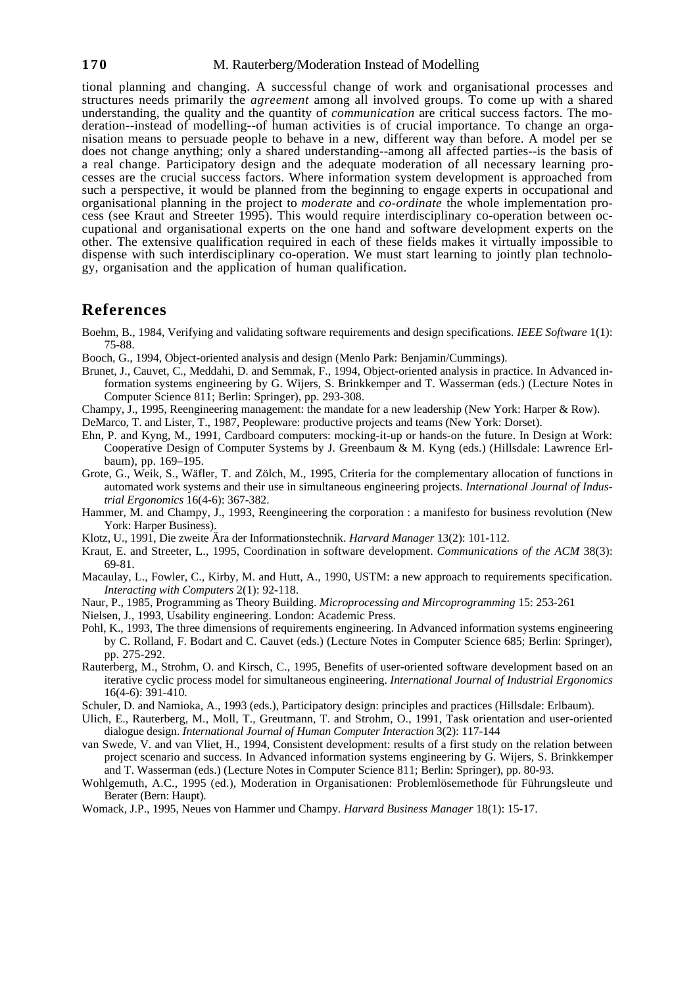#### **170** M. Rauterberg/Moderation Instead of Modelling

tional planning and changing. A successful change of work and organisational processes and structures needs primarily the *agreement* among all involved groups. To come up with a shared understanding, the quality and the quantity of *communication* are critical success factors. The moderation--instead of modelling--of human activities is of crucial importance. To change an organisation means to persuade people to behave in a new, different way than before. A model per se does not change anything; only a shared understanding--among all affected parties--is the basis of a real change. Participatory design and the adequate moderation of all necessary learning processes are the crucial success factors. Where information system development is approached from such a perspective, it would be planned from the beginning to engage experts in occupational and organisational planning in the project to *moderate* and *co-ordinate* the whole implementation process (see Kraut and Streeter 1995). This would require interdisciplinary co-operation between occupational and organisational experts on the one hand and software development experts on the other. The extensive qualification required in each of these fields makes it virtually impossible to dispense with such interdisciplinary co-operation. We must start learning to jointly plan technology, organisation and the application of human qualification.

## **References**

- Boehm, B., 1984, Verifying and validating software requirements and design specifications. *IEEE Software* 1(1): 75-88.
- Booch, G., 1994, Object-oriented analysis and design (Menlo Park: Benjamin/Cummings).
- Brunet, J., Cauvet, C., Meddahi, D. and Semmak, F., 1994, Object-oriented analysis in practice. In Advanced information systems engineering by G. Wijers, S. Brinkkemper and T. Wasserman (eds.) (Lecture Notes in Computer Science 811; Berlin: Springer), pp. 293-308.
- Champy, J., 1995, Reengineering management: the mandate for a new leadership (New York: Harper & Row).

DeMarco, T. and Lister, T., 1987, Peopleware: productive projects and teams (New York: Dorset).

- Ehn, P. and Kyng, M., 1991, Cardboard computers: mocking-it-up or hands-on the future. In Design at Work: Cooperative Design of Computer Systems by J. Greenbaum & M. Kyng (eds.) (Hillsdale: Lawrence Erlbaum), pp. 169–195.
- Grote, G., Weik, S., Wäfler, T. and Zölch, M., 1995, Criteria for the complementary allocation of functions in automated work systems and their use in simultaneous engineering projects. *International Journal of Industrial Ergonomics* 16(4-6): 367-382.
- Hammer, M. and Champy, J., 1993, Reengineering the corporation : a manifesto for business revolution (New York: Harper Business).
- Klotz, U., 1991, Die zweite Ära der Informationstechnik. *Harvard Manager* 13(2): 101-112.
- Kraut, E. and Streeter, L., 1995, Coordination in software development. *Communications of the ACM* 38(3): 69-81.
- Macaulay, L., Fowler, C., Kirby, M. and Hutt, A., 1990, USTM: a new approach to requirements specification. *Interacting with Computers* 2(1): 92-118.
- Naur, P., 1985, Programming as Theory Building. *Microprocessing and Mircoprogramming* 15: 253-261

Nielsen, J., 1993, Usability engineering. London: Academic Press.

- Pohl, K., 1993, The three dimensions of requirements engineering. In Advanced information systems engineering by C. Rolland, F. Bodart and C. Cauvet (eds.) (Lecture Notes in Computer Science 685; Berlin: Springer), pp. 275-292.
- Rauterberg, M., Strohm, O. and Kirsch, C., 1995, Benefits of user-oriented software development based on an iterative cyclic process model for simultaneous engineering. *International Journal of Industrial Ergonomics* 16(4-6): 391-410.
- Schuler, D. and Namioka, A., 1993 (eds.), Participatory design: principles and practices (Hillsdale: Erlbaum).
- Ulich, E., Rauterberg, M., Moll, T., Greutmann, T. and Strohm, O., 1991, Task orientation and user-oriented dialogue design. *International Journal of Human Computer Interaction* 3(2): 117-144
- van Swede, V. and van Vliet, H., 1994, Consistent development: results of a first study on the relation between project scenario and success. In Advanced information systems engineering by G. Wijers, S. Brinkkemper and T. Wasserman (eds.) (Lecture Notes in Computer Science 811; Berlin: Springer), pp. 80-93.
- Wohlgemuth, A.C., 1995 (ed.), Moderation in Organisationen: Problemlösemethode für Führungsleute und Berater (Bern: Haupt).
- Womack, J.P., 1995, Neues von Hammer und Champy. *Harvard Business Manager* 18(1): 15-17.